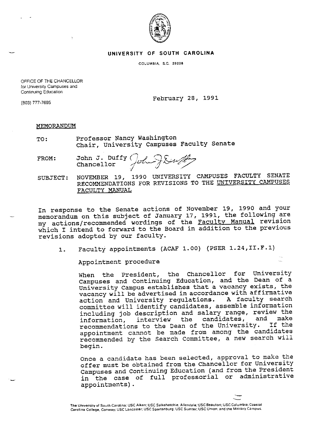

## **UNIVERSITY OF SOUTH CAROLINA**

**COLUMBIA, S.C. 29208** 

OFFICE OF THE CHANCELLOR **for University Campuses and Continuing Education** 

(803) 777-7695 February 28, <sup>1991</sup>

## MEMORANDUM

- TO: Professor Nancy Washington Chair, University Campuses Faculty Senate
- FROM: John J. Duffy ( Chancellor ,,,j/,f[,·----\_7 ~ */1/*  / --

SUBJECT: NOVEMBER 19, 1990 UNIVERSITY CAMPUSES FACULTY SENATE RECOMMENDATIONS FOR REVISIONS TO THE UNIVERSITY CAMPUSES FACULTY MANUAL

In response to the Senate actions of November 19, 1990 and your memorandum on this subject of January 17, 1991, the following are my actions/recommended wordings of the Faculty Manual revision which I intend to forward to the Board in addition to the previous revisions adopted by our faculty.

1. Faculty appointments (ACAF 1.00) (PSER 1.24,II.F.1)

Appointment procedure

When the President, the Chancellor for University campuses and Continuing Education, and the Dean of <sup>a</sup> University Campus establishes that a vacancy exists, the vacancy will be advertised in accordance with affirmative<br>action and University requlations. A faculty search action and University regulations. committee will identify candidates, assemble information including job description and salary range, review the<br>information, interview the candidates, and make information, interview the candidates, and make recommendations to the Dean of the University. appointment cannot be made from among the candidates recommended by the Search committee, a new search will begin.

Once a candidate has been selected, approval to make the offer must be obtained from the Chancellor for University campuses and Continuing Education ( and from the President in the case of full professorial or administrative appointments).